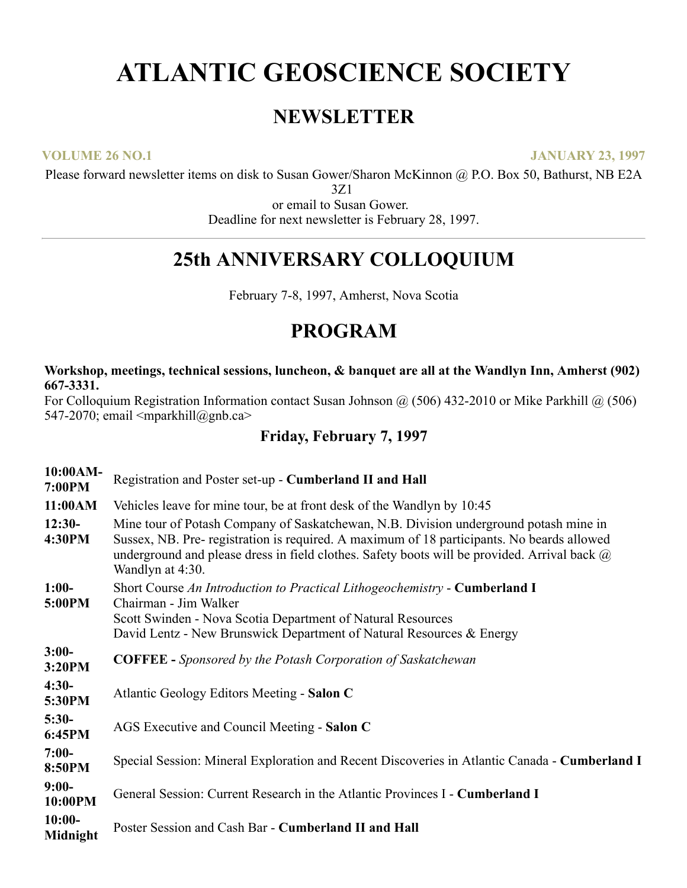# **ATLANTIC GEOSCIENCE SOCIETY**

## **NEWSLETTER**

**VOLUME 26 NO.1 JANUARY 23, 1997**

Please forward newsletter items on disk to Susan Gower/Sharon McKinnon @ P.O. Box 50, Bathurst, NB E2A

3Z1

or email to Susan Gower. Deadline for next newsletter is February 28, 1997.

# **25th ANNIVERSARY COLLOQUIUM**

February 7-8, 1997, Amherst, Nova Scotia

# **PROGRAM**

#### **Workshop, meetings, technical sessions, luncheon, & banquet are all at the Wandlyn Inn, Amherst (902) 667-3331.**

For Colloquium Registration Information contact Susan Johnson @ (506) 432-2010 or Mike Parkhill @ (506) 547-2070; email <mparkhill@gnb.ca>

### **Friday, February 7, 1997**

| 10:00AM-<br>7:00PM   | Registration and Poster set-up - Cumberland II and Hall                                                                                                                                                                                                                                                        |  |
|----------------------|----------------------------------------------------------------------------------------------------------------------------------------------------------------------------------------------------------------------------------------------------------------------------------------------------------------|--|
| 11:00AM              | Vehicles leave for mine tour, be at front desk of the Wandlyn by 10:45                                                                                                                                                                                                                                         |  |
| $12:30-$<br>4:30PM   | Mine tour of Potash Company of Saskatchewan, N.B. Division underground potash mine in<br>Sussex, NB. Pre- registration is required. A maximum of 18 participants. No beards allowed<br>underground and please dress in field clothes. Safety boots will be provided. Arrival back $\omega$<br>Wandlyn at 4:30. |  |
| $1:00-$<br>5:00PM    | Short Course An Introduction to Practical Lithogeochemistry - <b>Cumberland I</b><br>Chairman - Jim Walker<br>Scott Swinden - Nova Scotia Department of Natural Resources<br>David Lentz - New Brunswick Department of Natural Resources & Energy                                                              |  |
| $3:00-$<br>3:20PM    | <b>COFFEE</b> - Sponsored by the Potash Corporation of Saskatchewan                                                                                                                                                                                                                                            |  |
| $4:30-$<br>5:30PM    | Atlantic Geology Editors Meeting - Salon C                                                                                                                                                                                                                                                                     |  |
| $5:30-$<br>6:45PM    | AGS Executive and Council Meeting - Salon C                                                                                                                                                                                                                                                                    |  |
| $7:00-$<br>8:50PM    | Special Session: Mineral Exploration and Recent Discoveries in Atlantic Canada - <b>Cumberland I</b>                                                                                                                                                                                                           |  |
| $9:00-$<br>10:00PM   | General Session: Current Research in the Atlantic Provinces I - Cumberland I                                                                                                                                                                                                                                   |  |
| $10:00-$<br>Midnight | Poster Session and Cash Bar - Cumberland II and Hall                                                                                                                                                                                                                                                           |  |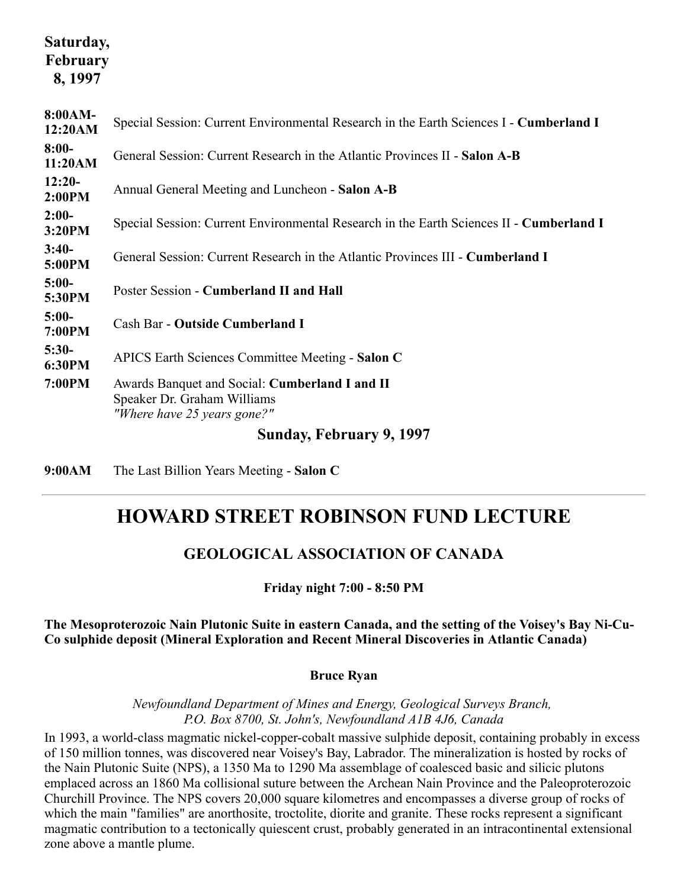### **Saturday, February 8, 1997**

| 8:00AM-<br>12:20AM | Special Session: Current Environmental Research in the Earth Sciences I - Cumberland I                       |
|--------------------|--------------------------------------------------------------------------------------------------------------|
| $8:00-$<br>11:20AM | General Session: Current Research in the Atlantic Provinces II - Salon A-B                                   |
| $12:20-$<br>2:00PM | Annual General Meeting and Luncheon - Salon A-B                                                              |
| $2:00-$<br>3:20PM  | Special Session: Current Environmental Research in the Earth Sciences II - Cumberland I                      |
| $3:40-$<br>5:00PM  | General Session: Current Research in the Atlantic Provinces III - Cumberland I                               |
| $5:00-$<br>5:30PM  | Poster Session - Cumberland II and Hall                                                                      |
| $5:00-$<br>7:00PM  | Cash Bar - Outside Cumberland I                                                                              |
| $5:30-$<br>6:30PM  | APICS Earth Sciences Committee Meeting - Salon C                                                             |
| 7:00PM             | Awards Banquet and Social: Cumberland I and II<br>Speaker Dr. Graham Williams<br>"Where have 25 years gone?" |
|                    | Sunday, February 9, 1997                                                                                     |
|                    |                                                                                                              |

**9:00AM** The Last Billion Years Meeting - **Salon C**

# **HOWARD STREET ROBINSON FUND LECTURE**

### **GEOLOGICAL ASSOCIATION OF CANADA**

**Friday night 7:00 - 8:50 PM**

**The Mesoproterozoic Nain Plutonic Suite in eastern Canada, and the setting of the Voisey's Bay Ni-Cu-Co sulphide deposit (Mineral Exploration and Recent Mineral Discoveries in Atlantic Canada)**

#### **Bruce Ryan**

*Newfoundland Department of Mines and Energy, Geological Surveys Branch, P.O. Box 8700, St. John's, Newfoundland A1B 4J6, Canada*

In 1993, a world-class magmatic nickel-copper-cobalt massive sulphide deposit, containing probably in excess of 150 million tonnes, was discovered near Voisey's Bay, Labrador. The mineralization is hosted by rocks of the Nain Plutonic Suite (NPS), a 1350 Ma to 1290 Ma assemblage of coalesced basic and silicic plutons emplaced across an 1860 Ma collisional suture between the Archean Nain Province and the Paleoproterozoic Churchill Province. The NPS covers 20,000 square kilometres and encompasses a diverse group of rocks of which the main "families" are anorthosite, troctolite, diorite and granite. These rocks represent a significant magmatic contribution to a tectonically quiescent crust, probably generated in an intracontinental extensional zone above a mantle plume.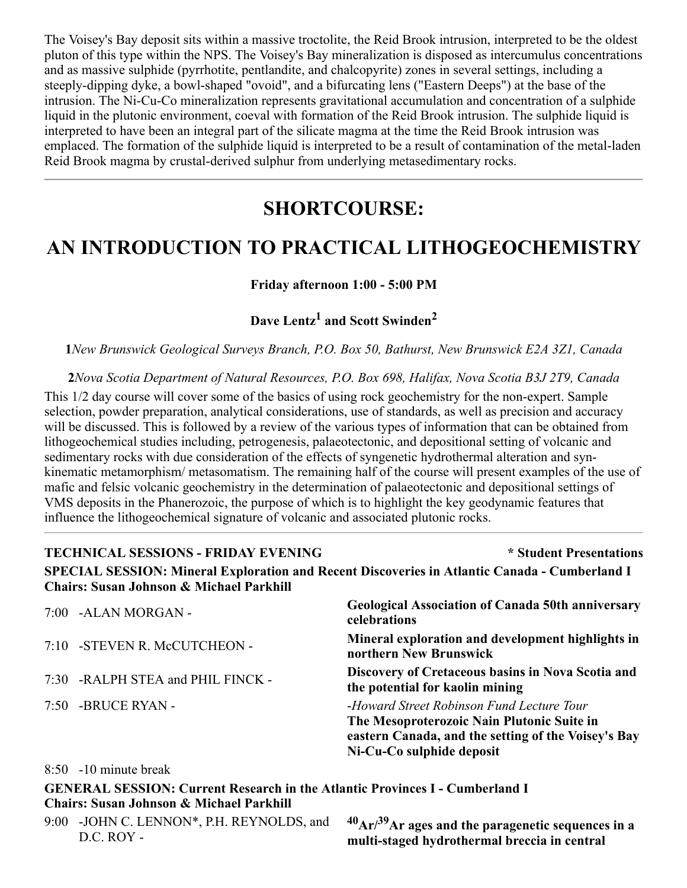The Voisey's Bay deposit sits within a massive troctolite, the Reid Brook intrusion, interpreted to be the oldest pluton of this type within the NPS. The Voisey's Bay mineralization is disposed as intercumulus concentrations and as massive sulphide (pyrrhotite, pentlandite, and chalcopyrite) zones in several settings, including a steeply-dipping dyke, a bowl-shaped "ovoid", and a bifurcating lens ("Eastern Deeps") at the base of the intrusion. The Ni-Cu-Co mineralization represents gravitational accumulation and concentration of a sulphide liquid in the plutonic environment, coeval with formation of the Reid Brook intrusion. The sulphide liquid is interpreted to have been an integral part of the silicate magma at the time the Reid Brook intrusion was emplaced. The formation of the sulphide liquid is interpreted to be a result of contamination of the metal-laden Reid Brook magma by crustal-derived sulphur from underlying metasedimentary rocks.

# **SHORTCOURSE:**

# **AN INTRODUCTION TO PRACTICAL LITHOGEOCHEMISTRY**

#### **Friday afternoon 1:00 - 5:00 PM**

**Dave Lentz<sup>1</sup> and Scott Swinden<sup>2</sup>**

**1***New Brunswick Geological Surveys Branch, P.O. Box 50, Bathurst, New Brunswick E2A 3Z1, Canada*

**2***Nova Scotia Department of Natural Resources, P.O. Box 698, Halifax, Nova Scotia B3J 2T9, Canada* This 1/2 day course will cover some of the basics of using rock geochemistry for the non-expert. Sample selection, powder preparation, analytical considerations, use of standards, as well as precision and accuracy will be discussed. This is followed by a review of the various types of information that can be obtained from lithogeochemical studies including, petrogenesis, palaeotectonic, and depositional setting of volcanic and sedimentary rocks with due consideration of the effects of syngenetic hydrothermal alteration and synkinematic metamorphism/ metasomatism. The remaining half of the course will present examples of the use of mafic and felsic volcanic geochemistry in the determination of palaeotectonic and depositional settings of VMS deposits in the Phanerozoic, the purpose of which is to highlight the key geodynamic features that influence the lithogeochemical signature of volcanic and associated plutonic rocks.

#### **TECHNICAL SESSIONS - FRIDAY EVENING \* Student Presentations SPECIAL SESSION: Mineral Exploration and Recent Discoveries in Atlantic Canada - Cumberland I Chairs: Susan Johnson & Michael Parkhill**

| 7:00 -ALAN MORGAN -               | <b>Geological Association of Canada 50th anniversary</b><br>celebrations                                                                                                    |
|-----------------------------------|-----------------------------------------------------------------------------------------------------------------------------------------------------------------------------|
| 7:10 -STEVEN R. McCUTCHEON -      | Mineral exploration and development highlights in<br>northern New Brunswick                                                                                                 |
| 7:30 -RALPH STEA and PHIL FINCK - | Discovery of Cretaceous basins in Nova Scotia and<br>the potential for kaolin mining                                                                                        |
| 7:50 -BRUCE RYAN -                | -Howard Street Robinson Fund Lecture Tour<br>The Mesoproterozoic Nain Plutonic Suite in<br>eastern Canada, and the setting of the Voisey's Bay<br>Ni-Cu-Co sulphide deposit |

#### 8:50 -10 minute break

**GENERAL SESSION: Current Research in the Atlantic Provinces I - Cumberland I Chairs: Susan Johnson & Michael Parkhill**

9:00 -JOHN C. LENNON\*, P.H. REYNOLDS, and D.C. ROY -

**<sup>40</sup>Ar/39Ar ages and the paragenetic sequences in a multi-staged hydrothermal breccia in central**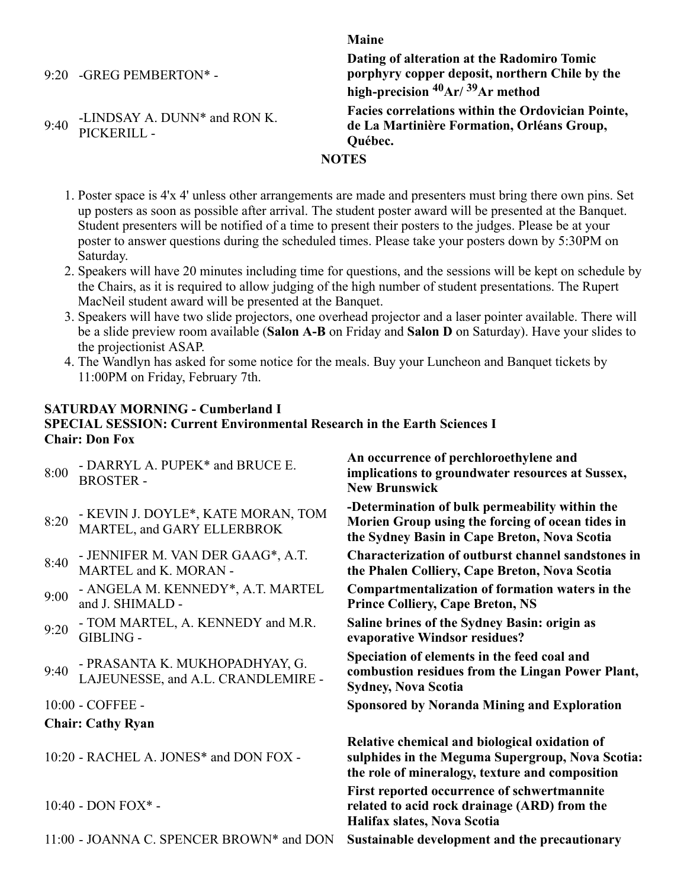9:20 -GREG PEMBERTON\* -

9:40 -LINDSAY A. DUNN\* and RON K. PICKERILL -

**Maine Dating of alteration at the Radomiro Tomic porphyry copper deposit, northern Chile by the high-precision 40Ar/ 39Ar method Facies correlations within the Ordovician Pointe, de La Martinière Formation, Orléans Group, Québec.**

### **NOTES**

- 1. Poster space is 4'x 4' unless other arrangements are made and presenters must bring there own pins. Set up posters as soon as possible after arrival. The student poster award will be presented at the Banquet. Student presenters will be notified of a time to present their posters to the judges. Please be at your poster to answer questions during the scheduled times. Please take your posters down by 5:30PM on Saturday.
- 2. Speakers will have 20 minutes including time for questions, and the sessions will be kept on schedule by the Chairs, as it is required to allow judging of the high number of student presentations. The Rupert MacNeil student award will be presented at the Banquet.
- 3. Speakers will have two slide projectors, one overhead projector and a laser pointer available. There will be a slide preview room available (**Salon A-B** on Friday and **Salon D** on Saturday). Have your slides to the projectionist ASAP.
- 4. The Wandlyn has asked for some notice for the meals. Buy your Luncheon and Banquet tickets by 11:00PM on Friday, February 7th.

### **SATURDAY MORNING - Cumberland I**

### **SPECIAL SESSION: Current Environmental Research in the Earth Sciences I Chair: Don Fox**

| 8:00 | - DARRYL A. PUPEK* and BRUCE E.<br><b>BROSTER-</b>                   | An occurrence of perchloroethylene and<br>implications to groundwater resources at Sussex,<br><b>New Brunswick</b>                                   |
|------|----------------------------------------------------------------------|------------------------------------------------------------------------------------------------------------------------------------------------------|
| 8:20 | - KEVIN J. DOYLE*, KATE MORAN, TOM<br>MARTEL, and GARY ELLERBROK     | -Determination of bulk permeability within the<br>Morien Group using the forcing of ocean tides in<br>the Sydney Basin in Cape Breton, Nova Scotia   |
| 8:40 | - JENNIFER M. VAN DER GAAG*, A.T.<br>MARTEL and K. MORAN -           | Characterization of outburst channel sandstones in<br>the Phalen Colliery, Cape Breton, Nova Scotia                                                  |
| 9:00 | - ANGELA M. KENNEDY*, A.T. MARTEL<br>and J. SHIMALD -                | Compartmentalization of formation waters in the<br><b>Prince Colliery, Cape Breton, NS</b>                                                           |
| 9:20 | - TOM MARTEL, A. KENNEDY and M.R.<br><b>GIBLING -</b>                | Saline brines of the Sydney Basin: origin as<br>evaporative Windsor residues?                                                                        |
| 9:40 | - PRASANTA K. MUKHOPADHYAY, G.<br>LAJEUNESSE, and A.L. CRANDLEMIRE - | Speciation of elements in the feed coal and<br>combustion residues from the Lingan Power Plant,<br><b>Sydney, Nova Scotia</b>                        |
|      | 10:00 - COFFEE -                                                     | <b>Sponsored by Noranda Mining and Exploration</b>                                                                                                   |
|      | <b>Chair: Cathy Ryan</b>                                             |                                                                                                                                                      |
|      | 10:20 - RACHEL A. JONES* and DON FOX -                               | Relative chemical and biological oxidation of<br>sulphides in the Meguma Supergroup, Nova Scotia:<br>the role of mineralogy, texture and composition |
|      | $10:40$ - DON FOX $*$ -                                              | First reported occurrence of schwertmannite<br>related to acid rock drainage (ARD) from the<br>Halifax slates, Nova Scotia                           |
|      | 11:00 - JOANNA C. SPENCER BROWN* and DON                             | Sustainable development and the precautionary                                                                                                        |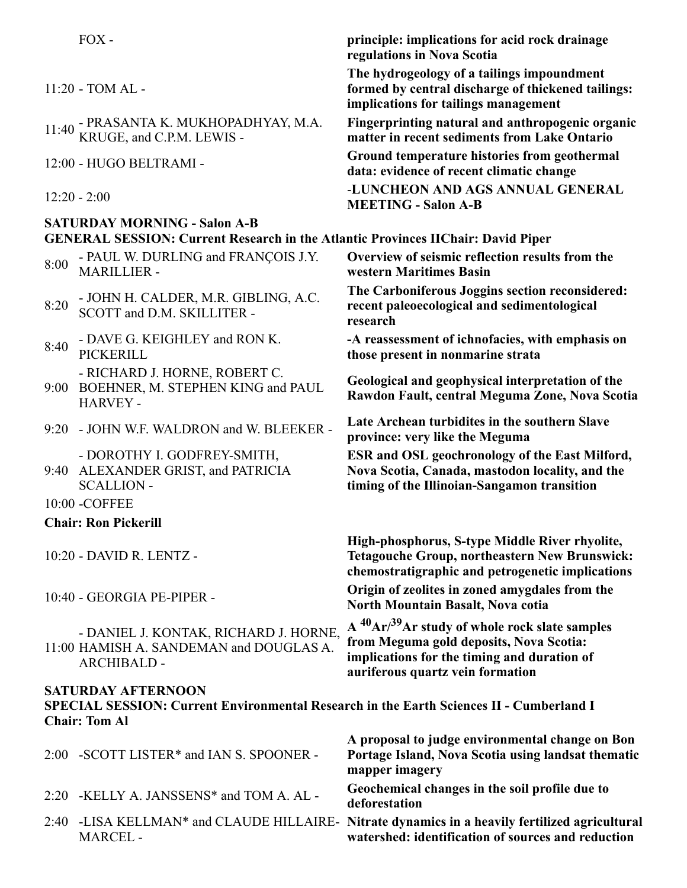|      | $FOX -$                                                                                                                                             | principle: implications for acid rock drainage<br>regulations in Nova Scotia                                                                                                                         |
|------|-----------------------------------------------------------------------------------------------------------------------------------------------------|------------------------------------------------------------------------------------------------------------------------------------------------------------------------------------------------------|
|      | $11:20$ - TOM AL -                                                                                                                                  | The hydrogeology of a tailings impoundment<br>formed by central discharge of thickened tailings:<br>implications for tailings management                                                             |
|      | 11:40 - PRASANTA K. MUKHOPADHYAY, M.A. KRUGE, and C.P.M. LEWIS -                                                                                    | Fingerprinting natural and anthropogenic organic<br>matter in recent sediments from Lake Ontario                                                                                                     |
|      | 12:00 - HUGO BELTRAMI -                                                                                                                             | Ground temperature histories from geothermal<br>data: evidence of recent climatic change                                                                                                             |
|      | $12:20 - 2:00$                                                                                                                                      | -LUNCHEON AND AGS ANNUAL GENERAL<br><b>MEETING - Salon A-B</b>                                                                                                                                       |
|      | <b>SATURDAY MORNING - Salon A-B</b>                                                                                                                 |                                                                                                                                                                                                      |
|      | <b>GENERAL SESSION: Current Research in the Atlantic Provinces IIChair: David Piper</b>                                                             |                                                                                                                                                                                                      |
| 8:00 | - PAUL W. DURLING and FRANÇOIS J.Y.<br><b>MARILLIER -</b>                                                                                           | Overview of seismic reflection results from the<br>western Maritimes Basin                                                                                                                           |
| 8:20 | - JOHN H. CALDER, M.R. GIBLING, A.C.<br>SCOTT and D.M. SKILLITER -                                                                                  | The Carboniferous Joggins section reconsidered:<br>recent paleoecological and sedimentological<br>research                                                                                           |
| 8:40 | - DAVE G. KEIGHLEY and RON K.<br><b>PICKERILL</b>                                                                                                   | -A reassessment of ichnofacies, with emphasis on<br>those present in nonmarine strata                                                                                                                |
|      | - RICHARD J. HORNE, ROBERT C.<br>9:00 BOEHNER, M. STEPHEN KING and PAUL<br><b>HARVEY -</b>                                                          | Geological and geophysical interpretation of the<br>Rawdon Fault, central Meguma Zone, Nova Scotia                                                                                                   |
|      | 9:20 - JOHN W.F. WALDRON and W. BLEEKER -                                                                                                           | Late Archean turbidites in the southern Slave<br>province: very like the Meguma                                                                                                                      |
|      | - DOROTHY I. GODFREY-SMITH,<br>9:40 ALEXANDER GRIST, and PATRICIA<br><b>SCALLION -</b>                                                              | <b>ESR and OSL geochronology of the East Milford,</b><br>Nova Scotia, Canada, mastodon locality, and the<br>timing of the Illinoian-Sangamon transition                                              |
|      | 10:00 - COFFEE                                                                                                                                      |                                                                                                                                                                                                      |
|      | <b>Chair: Ron Pickerill</b>                                                                                                                         |                                                                                                                                                                                                      |
|      | 10:20 - DAVID R. LENTZ -                                                                                                                            | High-phosphorus, S-type Middle River rhyolite,<br><b>Tetagouche Group, northeastern New Brunswick:</b><br>chemostratigraphic and petrogenetic implications                                           |
|      | 10:40 - GEORGIA PE-PIPER -                                                                                                                          | Origin of zeolites in zoned amygdales from the<br>North Mountain Basalt, Nova cotia                                                                                                                  |
|      | - DANIEL J. KONTAK, RICHARD J. HORNE,<br>11:00 HAMISH A. SANDEMAN and DOUGLAS A.<br><b>ARCHIBALD -</b>                                              | A <sup>40</sup> Ar/ <sup>39</sup> Ar study of whole rock slate samples<br>from Meguma gold deposits, Nova Scotia:<br>implications for the timing and duration of<br>auriferous quartz vein formation |
|      | <b>SATURDAY AFTERNOON</b><br><b>SPECIAL SESSION: Current Environmental Research in the Earth Sciences II - Cumberland I</b><br><b>Chair: Tom Al</b> |                                                                                                                                                                                                      |
|      |                                                                                                                                                     | A proposal to judge environmental change on Bon                                                                                                                                                      |
|      | 2:00 - SCOTT LISTER* and IAN S. SPOONER -                                                                                                           | Portage Island, Nova Scotia using landsat thematic<br>mapper imagery                                                                                                                                 |
|      | 2:20 -KELLY A. JANSSENS* and TOM A. AL -                                                                                                            | Geochemical changes in the soil profile due to<br>deforestation                                                                                                                                      |

2:40 -LISA KELLMAN\* and CLAUDE HILLAIRE-MARCEL - **Nitrate dynamics in a heavily fertilized agricultural watershed: identification of sources and reduction**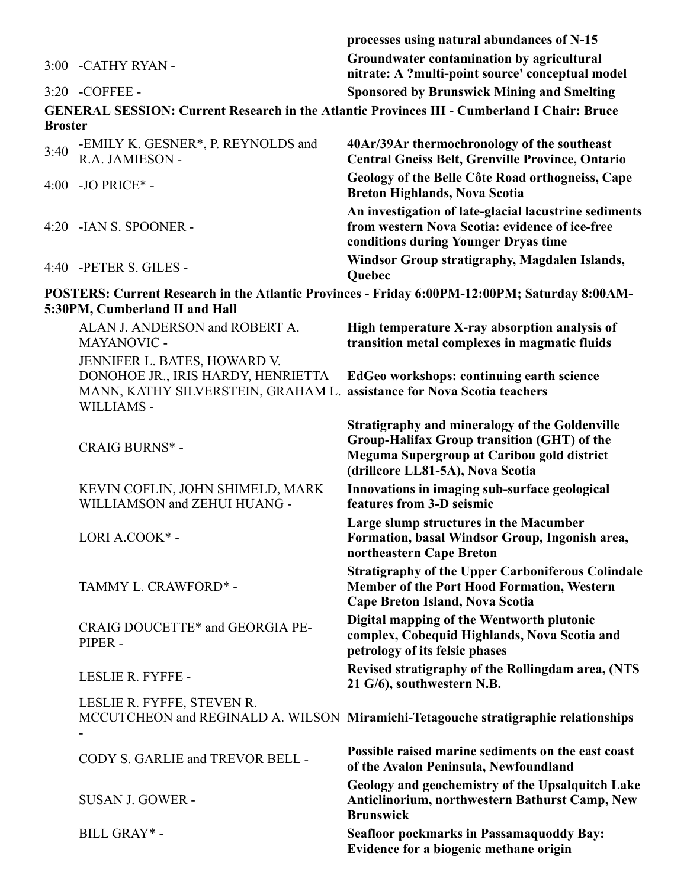|                |                                                                                                                        | processes using natural abundances of N-15                                                                                                                                             |
|----------------|------------------------------------------------------------------------------------------------------------------------|----------------------------------------------------------------------------------------------------------------------------------------------------------------------------------------|
|                | 3:00 - CATHY RYAN -                                                                                                    | Groundwater contamination by agricultural<br>nitrate: A ?multi-point source' conceptual model                                                                                          |
|                | 3:20 - COFFEE -                                                                                                        | <b>Sponsored by Brunswick Mining and Smelting</b>                                                                                                                                      |
| <b>Broster</b> |                                                                                                                        | <b>GENERAL SESSION: Current Research in the Atlantic Provinces III - Cumberland I Chair: Bruce</b>                                                                                     |
| 3:40           | -EMILY K. GESNER*, P. REYNOLDS and<br>R.A. JAMIESON -                                                                  | 40Ar/39Ar thermochronology of the southeast<br><b>Central Gneiss Belt, Grenville Province, Ontario</b>                                                                                 |
|                | 4:00 - JO PRICE* -                                                                                                     | Geology of the Belle Côte Road orthogneiss, Cape<br><b>Breton Highlands, Nova Scotia</b>                                                                                               |
|                | 4:20 - IAN S. SPOONER -                                                                                                | An investigation of late-glacial lacustrine sediments<br>from western Nova Scotia: evidence of ice-free<br>conditions during Younger Dryas time                                        |
|                | 4:40 -PETER S. GILES -                                                                                                 | Windsor Group stratigraphy, Magdalen Islands,<br>Quebec                                                                                                                                |
|                | 5:30PM, Cumberland II and Hall                                                                                         | POSTERS: Current Research in the Atlantic Provinces - Friday 6:00PM-12:00PM; Saturday 8:00AM-                                                                                          |
|                | ALAN J. ANDERSON and ROBERT A.<br>MAYANOVIC -                                                                          | High temperature X-ray absorption analysis of<br>transition metal complexes in magmatic fluids                                                                                         |
|                | JENNIFER L. BATES, HOWARD V.<br>DONOHOE JR., IRIS HARDY, HENRIETTA<br>MANN, KATHY SILVERSTEIN, GRAHAM L.<br>WILLIAMS - | EdGeo workshops: continuing earth science<br>assistance for Nova Scotia teachers                                                                                                       |
|                | <b>CRAIG BURNS*-</b>                                                                                                   | <b>Stratigraphy and mineralogy of the Goldenville</b><br>Group-Halifax Group transition (GHT) of the<br>Meguma Supergroup at Caribou gold district<br>(drillcore LL81-5A), Nova Scotia |
|                | KEVIN COFLIN, JOHN SHIMELD, MARK<br>WILLIAMSON and ZEHUI HUANG -                                                       | Innovations in imaging sub-surface geological<br>features from 3-D seismic                                                                                                             |
|                | LORI A.COOK* -                                                                                                         | Large slump structures in the Macumber<br>Formation, basal Windsor Group, Ingonish area,<br>northeastern Cape Breton                                                                   |
|                | TAMMY L. CRAWFORD* -                                                                                                   | <b>Stratigraphy of the Upper Carboniferous Colindale</b><br><b>Member of the Port Hood Formation, Western</b><br>Cape Breton Island, Nova Scotia                                       |
|                | CRAIG DOUCETTE* and GEORGIA PE-<br>PIPER -                                                                             | Digital mapping of the Wentworth plutonic<br>complex, Cobequid Highlands, Nova Scotia and<br>petrology of its felsic phases                                                            |
|                | LESLIE R. FYFFE -                                                                                                      | Revised stratigraphy of the Rollingdam area, (NTS<br>21 G/6), southwestern N.B.                                                                                                        |
|                | LESLIE R. FYFFE, STEVEN R.                                                                                             | MCCUTCHEON and REGINALD A. WILSON Miramichi-Tetagouche stratigraphic relationships                                                                                                     |
|                | CODY S. GARLIE and TREVOR BELL -                                                                                       | Possible raised marine sediments on the east coast<br>of the Avalon Peninsula, Newfoundland                                                                                            |
|                | <b>SUSAN J. GOWER -</b>                                                                                                | Geology and geochemistry of the Upsalquitch Lake<br>Anticlinorium, northwestern Bathurst Camp, New<br><b>Brunswick</b>                                                                 |
|                | BILL GRAY* -                                                                                                           | <b>Seafloor pockmarks in Passamaquoddy Bay:</b><br>Evidence for a biogenic methane origin                                                                                              |